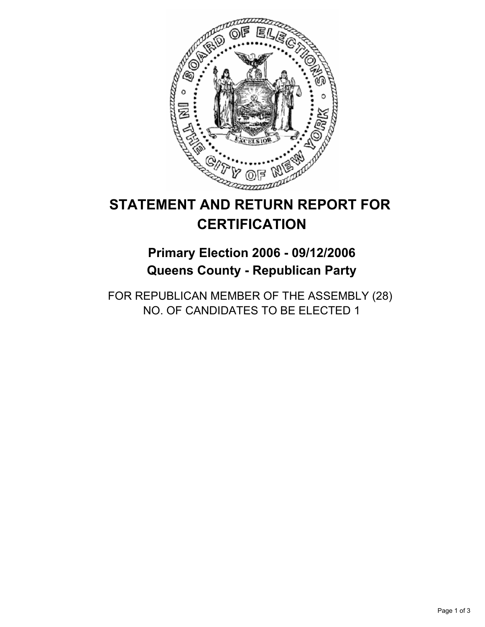

# **STATEMENT AND RETURN REPORT FOR CERTIFICATION**

## **Primary Election 2006 - 09/12/2006 Queens County - Republican Party**

FOR REPUBLICAN MEMBER OF THE ASSEMBLY (28) NO. OF CANDIDATES TO BE ELECTED 1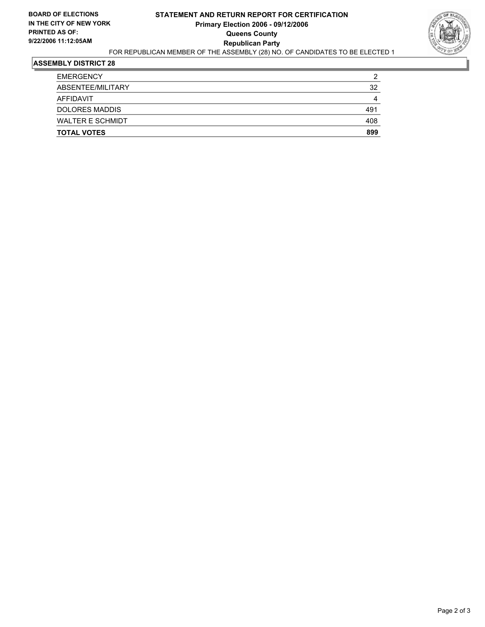#### **STATEMENT AND RETURN REPORT FOR CERTIFICATION Primary Election 2006 - 09/12/2006 Queens County Republican Party** FOR REPUBLICAN MEMBER OF THE ASSEMBLY (28) NO. OF CANDIDATES TO BE ELECTED 1



#### **ASSEMBLY DISTRICT 28**

| <b>TOTAL VOTES</b>      | 899 |
|-------------------------|-----|
| <b>WALTER E SCHMIDT</b> | 408 |
| <b>DOLORES MADDIS</b>   | 491 |
| AFFIDAVIT               | 4   |
| ABSENTEE/MILITARY       | 32  |
| <b>EMERGENCY</b>        | 2   |